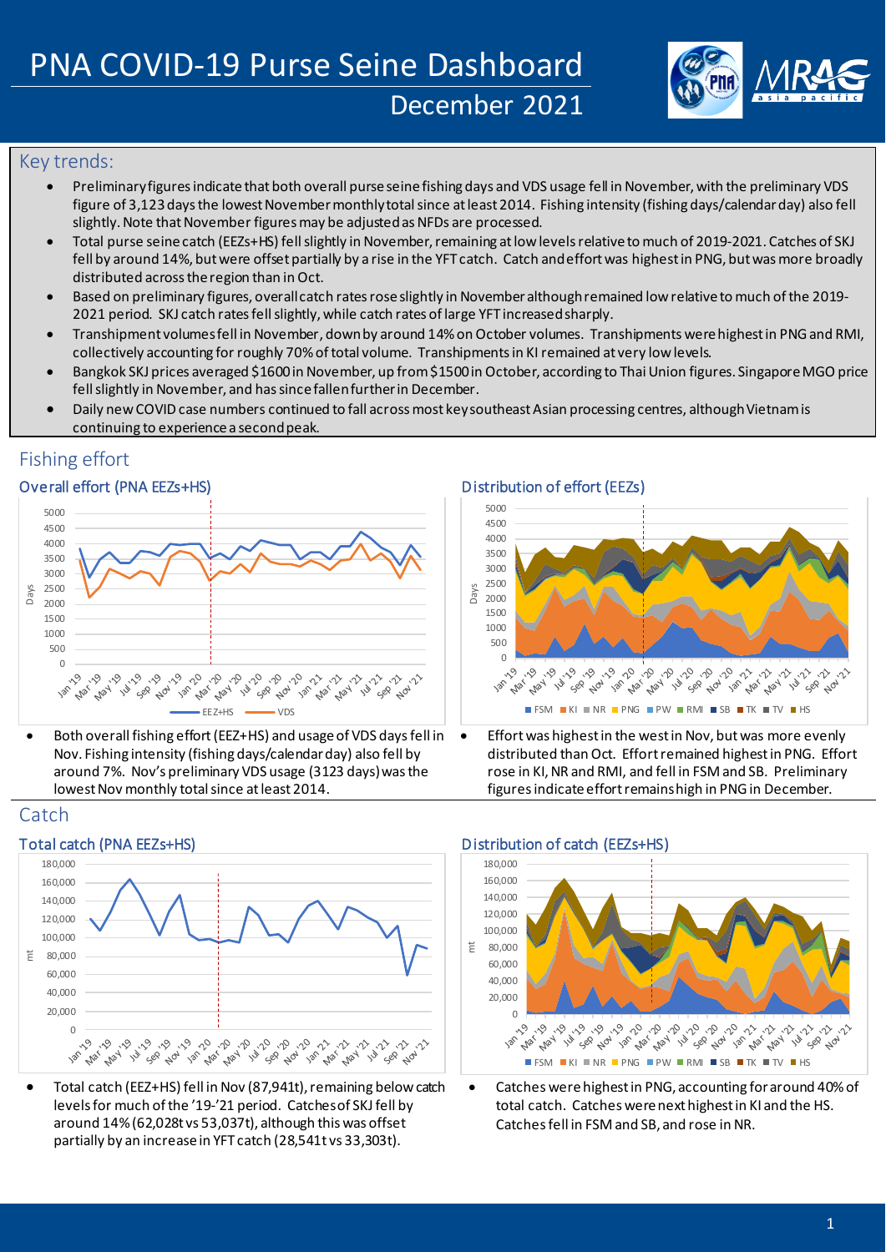

## Key trends:

Fishing effort

 $\sim$ 

**May Mar** 

- Preliminary figures indicate that both overall purse seine fishing days and VDS usage fell in November, with the preliminary VDS figure of 3,123 days the lowest November monthly total since at least 2014. Fishing intensity (fishing days/calendar day) also fell slightly. Note that November figures may be adjustedas NFDs are processed.
- Total purse seine catch (EEZs+HS) fell slightly in November, remaining at low levelsrelative to much of 2019-2021. Catches of SKJ fell by around 14%, but were offset partially by a rise in the YFT catch. Catch and effort was highest in PNG, but was more broadly distributed across the region than in Oct.
- Based on preliminary figures, overall catch rates rose slightly in November although remained low relative to much of the 2019-2021 period. SKJ catch rates fell slightly, while catch rates of large YFT increased sharply.
- Transhipment volumes fell in November, downby around 14% on October volumes. Transhipments were highest in PNG and RMI, collectively accounting for roughly 70% of total volume. Transhipments in KI remained at very low levels.
- Bangkok SKJ prices averaged \$1600 in November, up from \$1500 in October, according to Thai Union figures. Singapore MGO price fell slightly in November, and has since fallen furtherin December.
- Daily new COVID case numbers continued to fall across most key southeast Asian processing centres, although Vietnam is continuing to experience a second peak.

#### Overall effort (PNA EEZs+HS) Distribution of effort (EEZs) 5000 4500 4000 3500 3000 Days 2500 2000 1500 1000 500  $\Omega$ 21-12-12-02-02-02

lowest Nov monthly total since at least 2014.



• Both overall fishing effort (EEZ+HS) and usage of VDS days fell in around 7%. Nov's preliminary VDS usage (3123 days) was the • Effort was highest in the west in Nov, but was more evenly distributed than Oct. Effort remained highest in PNG. Effort rose in KI, NR and RMI, and fell in FSM and SB. Preliminary figures indicate effort remains high in PNG in December.

## Catch



Nov. Fishing intensity (fishing days/calendar day) also fell by

 $-FF7+HS$   $\longrightarrow$  VDS

 $\langle \gamma \rangle$ 

**APA** 

ي الله الله الله الله عن الله الله الله الله الله عن الله الله عن الله الله الله عن الله الله عن الله<br>الله عن الله عن الله عن الله عن الله عن الله عن الله عن الله عن الله عن الله عن الله عن الله عن الله عن الله ع<br>الله عن ا

• Total catch (EEZ+HS) fell in Nov (87,941t), remaining below catch levels for much of the '19-'21 period. Catches of SKJ fell by around 14% (62,028t vs 53,037t), although this was offset partially by an increase in YFT catch (28,541t vs 33,303t).

### Total catch (PNA EEZs+HS) Distribution of catch (EEZs+HS)



• Catches were highest in PNG, accounting for around 40% of total catch. Catches were next highest in KI and the HS. Catches fell in FSM and SB, and rose in NR.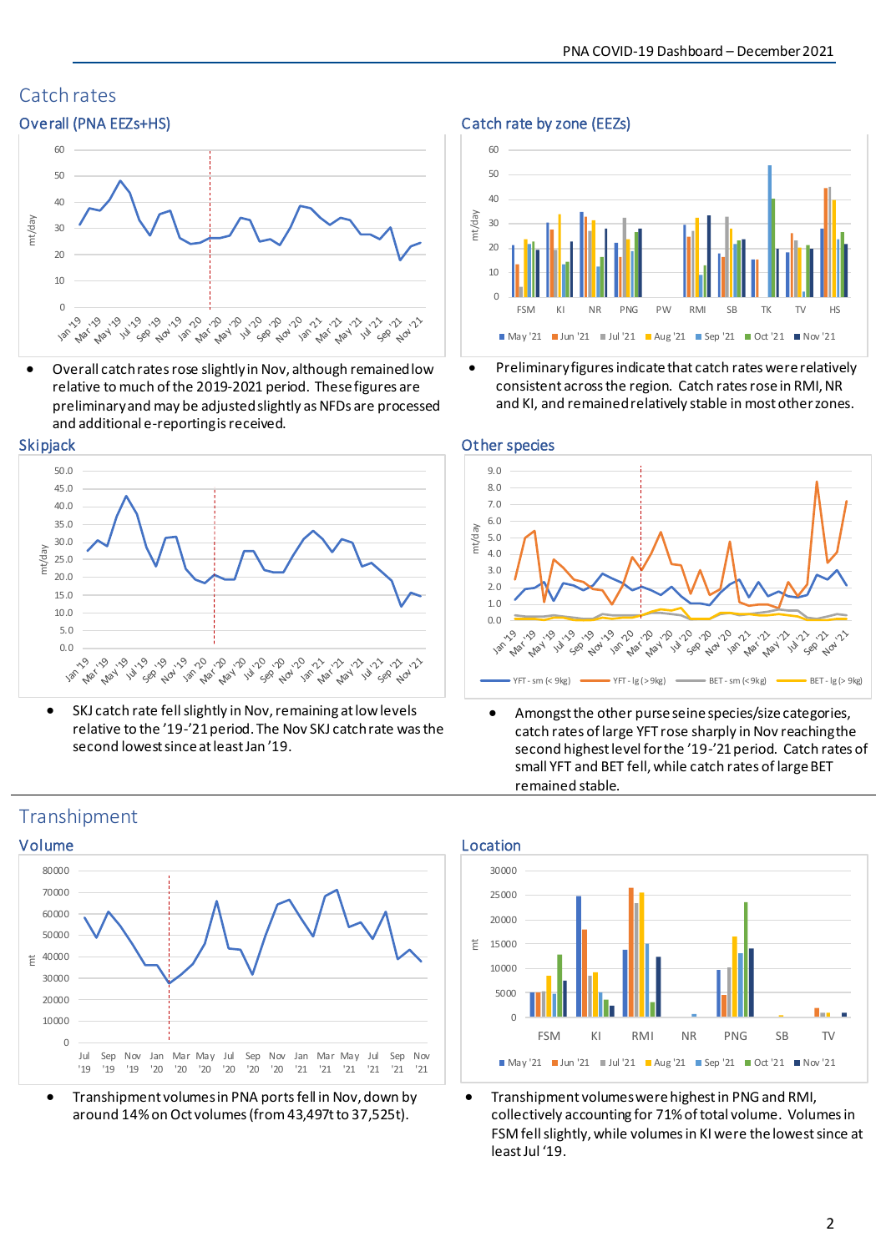# Catch rates

#### 60 50 40 mt/day  $30$  $20$ 10 **110 10 19** 0 21-12-12-21-21 1.9 20 20 20 20 20 20 20 20 20<br>The fact of the fact of fact of 1  $\mathcal{S}$  $32.8$ **Play 17** 100 **May** 10 Sep 201 **Cep** No

Overall catch rates rose slightly in Nov, although remained low relative to much of the 2019-2021 period. These figures are preliminary and may be adjusted slightly as NFDs are processed and additional e-reporting is received.





• SKJ catch rate fell slightly in Nov, remaining at low levels relative to the '19-'21 period. The Nov SKJ catch rate was the second lowest since at least Jan '19.

## Overall (PNA EEZs+HS) Catch rate by zone (EEZs)



• Preliminary figures indicate that catch rates were relatively consistent across the region. Catch rates rose in RMI, NR and KI, and remained relatively stable in most other zones.



• Amongst the other purse seine species/size categories, catch rates of large YFT rose sharply in Nov reaching the second highest level for the '19-'21 period. Catch rates of small YFT and BET fell, while catch rates of large BET remained stable.



• Transhipment volumeswere highest in PNGand RMI, collectively accounting for 71% of total volume. Volumes in FSM fell slightly, while volumes in KI were the lowest since at leastJul '19.

## Transhipment



• Transhipment volumes in PNA ports fell in Nov, down by around 14% on Oct volumes (from 43,497t to 37,525t).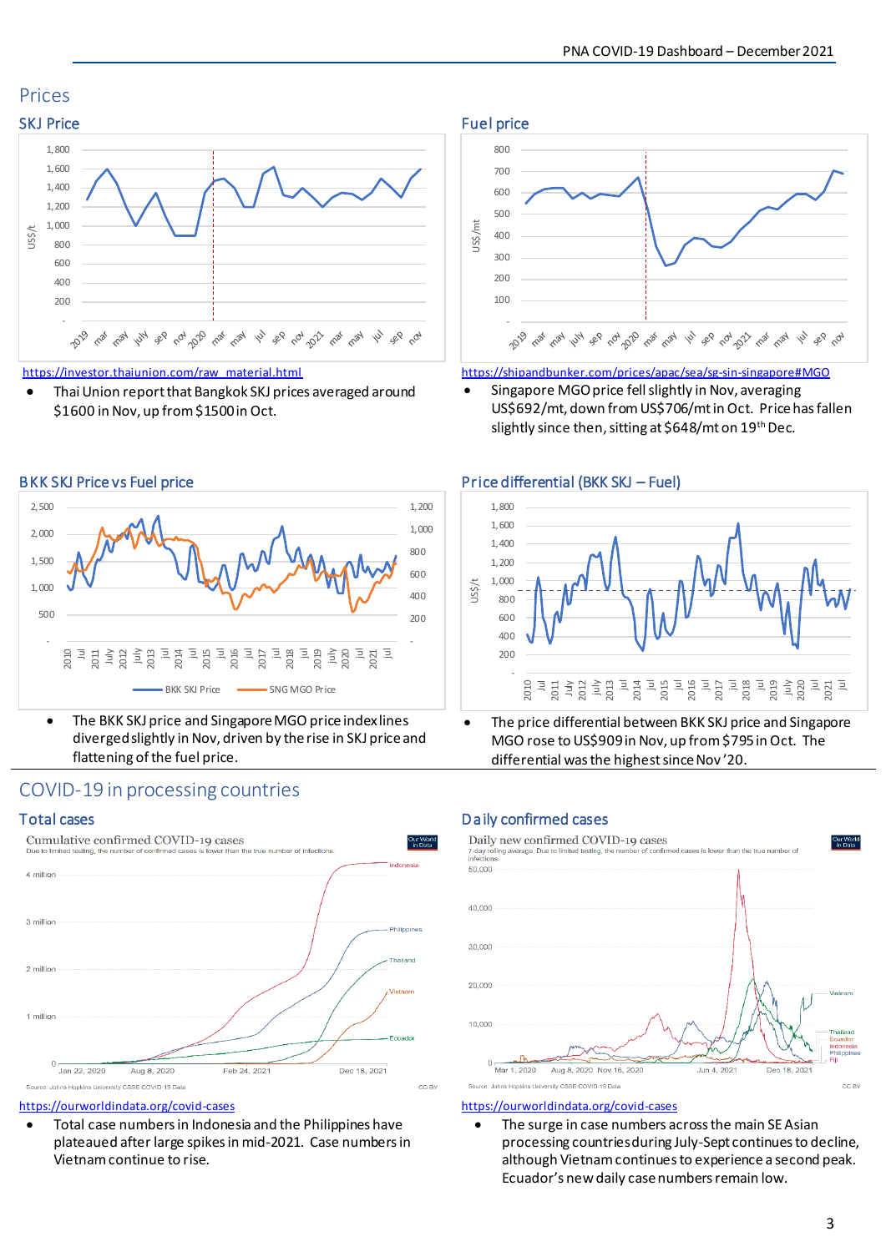## Prices



[https://investor.thaiunion.com/raw\\_material.html](https://investor.thaiunion.com/raw_material.html)

• Thai Union report that Bangkok SKJ prices averaged around \$1600 in Nov, up from \$1500 in Oct.



<https://shipandbunker.com/prices/apac/sea/sg-sin-singapore#MGO>

• Singapore MGO price fell slightly in Nov, averaging US\$692/mt, down from US\$706/mtin Oct. Price has fallen slightly since then, sitting at \$648/mt on 19<sup>th</sup> Dec.

### BKK SKJ Price vs Fuel price Price 1 and Table 1 and Table 1 and Table 1 and Table 1 and Price differential (BKK SKJ – Fuel)



The price differential between BKK SKJ price and Singapore MGO rose to US\$909 in Nov, up from \$795 in Oct. The differential was the highest since Nov '20.

## COVID-19 in processing countries

flattening of the fuel price.

-

2010 n<br>J 2011 July 2012 july 2013 i 2014 jul  $\overline{5}$ i 2016  $\overline{\mathbf{u}}$ 2017 jul  $\overline{8}$ jul 2019 july 2020 i 2021 i

 500 1,000 1,500 2,000



• The BKK SKJ price and Singapore MGO price index lines divergedslightly in Nov, driven by the rise in SKJ price and

BKK SKJ Price **SNG MGO Price** 



• Total case numbers in Indonesia and the Philippines have plateaued after large spikes in mid-2021. Case numbers in Vietnam continue to rise.

### Total cases Daily confirmed cases

 - 200 400  $600$  800 1,000 1,200



#### <https://ourworldindata.org/covid-cases>

The surge in case numbers across the main SE Asian processing countries during July-Sept continues to decline, although Vietnam continues to experience a second peak. Ecuador's new daily case numbers remain low.

# $2.500$